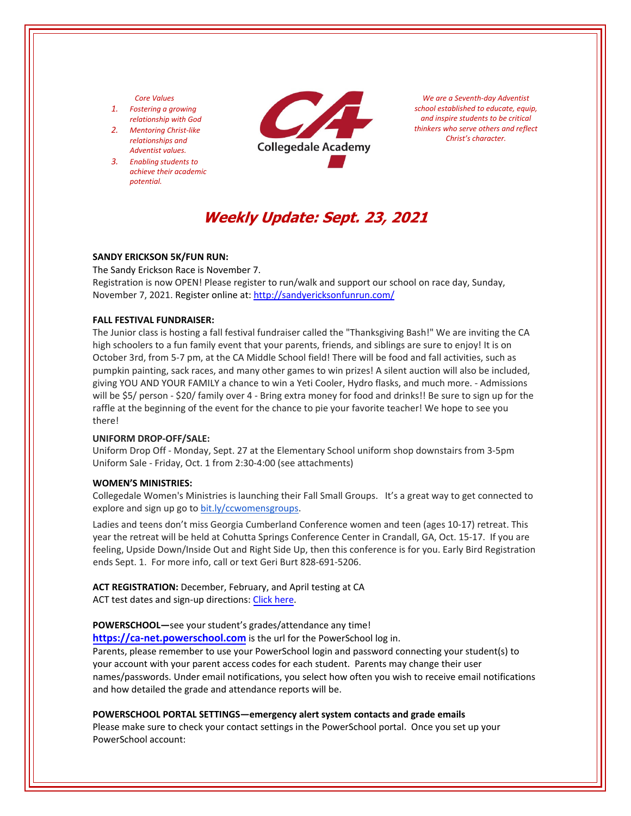# *Core Values*

- *1. Fostering a growing relationship with God*
- *2. Mentoring Christ‐like relationships and Adventist values.*
- *3. Enabling students to achieve their academic potential.*



*We are a Seventh‐day Adventist school established to educate, equip, and inspire students to be critical thinkers who serve others and reflect Christ's character.*

# **Weekly Update: Sept. 23, 2021**

## **SANDY ERICKSON 5K/FUN RUN:**

The Sandy Erickson Race is November 7.

Registration is now OPEN! Please register to run/walk and support our school on race day, Sunday, November 7, 2021. Register online at: <http://sandyericksonfunrun.com/>

## **FALL FESTIVAL FUNDRAISER:**

The Junior class is hosting a fall festival fundraiser called the "Thanksgiving Bash!" We are inviting the CA high schoolers to a fun family event that your parents, friends, and siblings are sure to enjoy! It is on October 3rd, from 5‐7 pm, at the CA Middle School field! There will be food and fall activities, such as pumpkin painting, sack races, and many other games to win prizes! A silent auction will also be included, giving YOU AND YOUR FAMILY a chance to win a Yeti Cooler, Hydro flasks, and much more. ‐ Admissions will be \$5/ person - \$20/ family over 4 - Bring extra money for food and drinks!! Be sure to sign up for the raffle at the beginning of the event for the chance to pie your favorite teacher! We hope to see you there!

#### **UNIFORM DROP-OFF/SALE:**

Uniform Drop Off - Monday, Sept. 27 at the Elementary School uniform shop downstairs from 3-5pm Uniform Sale - Friday, Oct. 1 from [2:30-4:00](https://collegedalechurch.churchcenter.com/groups/women-s-ministries) (see attachments)

## **WOMEN'S MINISTRIES:**

Collegedale Women's Ministries is launching their Fall Small Groups. It's a great way to get connected to explore and sign up go to bit.ly/ccwomensgroups.

Ladies and teens don't miss Georgia Cumberland Conference women and teen (ages 10‐17) retreat. This year the retreat will be held at Cohutta Springs Conference Center in Crandall, GA, Oct. 15‐17. If you are feeling, Upside Down/Inside Out and Right Side Up, then this conference is for you. Early Bird Registration ends Sept. 1. For more info, call or text Geri Burt 828‐691‐5206.

**ACT REGISTRATION:** December, February, and April testing at CA ACT test dates and sign-up [directions:](https://ca-net.powerschool.com/public/) Click [here.](https://www.act.org/)

#### **POWERSCHOOL—**see your student's grades/attendance any time!

**https://ca-net.powerschool.com** is the url for the PowerSchool log in.

Parents, please remember to use your PowerSchool login and password connecting your student(s) to your account with your parent access codes for each student. Parents may change their user names/passwords. Under email notifications, you select how often you wish to receive email notifications and how detailed the grade and attendance reports will be.

## **POWERSCHOOL PORTAL SETTINGS—emergency alert system contacts and grade emails**

Please make sure to check your contact settings in the PowerSchool portal. Once you set up your PowerSchool account: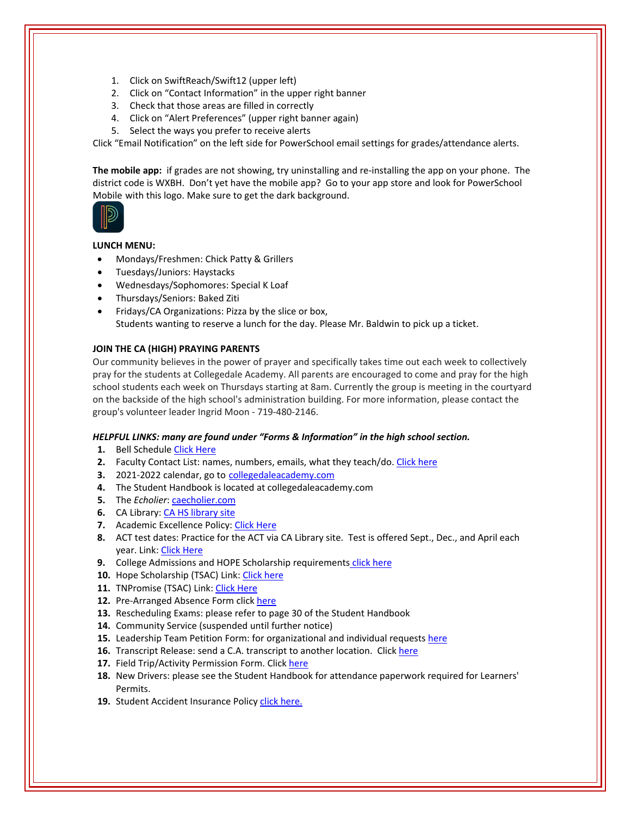- 1. Click on SwiftReach/Swift12 (upper left)
- 2. Click on "Contact Information" in the upper right banner
- 3. Check that those areas are filled in correctly
- 4. Click on "Alert Preferences" (upper right banner again)
- 5. Select the ways you prefer to receive alerts

Click "Email Notification" on the left side for PowerSchool email settings for grades/attendance alerts.

**The mobile app:** if grades are not showing, try uninstalling and re‐installing the app on your phone. The district code is WXBH. Don't yet have the mobile app? Go to your app store and look for PowerSchool Mobile with this logo. Make sure to get the dark background.



# **LUNCH MENU:**

- Mondays/Freshmen: Chick Patty & Grillers
- Tuesdays/Juniors: Haystacks
- Wednesdays/Sophomores: Special K Loaf
- Thursdays/Seniors: Baked Ziti
- Fridays/CA Organizations: Pizza by the slice or box, Students wanting to reserve a lunch for the day. Please Mr. Baldwin to pick up a ticket.

# **JOIN THE CA (HIGH) PRAYING PARENTS**

Our community believes in the power of prayer and specifically takes time out each week to collectively pray for the students at Collegedale Academy. All parents are encouraged to come and pray for the high school students each week on Thursdays starting at 8am. Currently the group is meeting in the courtyard on the backside of the high school's administration building. For more information, please contact the group's volunteer leader Ingrid Moon ‐ 719‐480‐2146.

# *HELPFUL LINKS: many are found under "Forms & Information" in the high school section.*

- **1.** Bell Schedule Click [Here](https://www.collegedaleacademy.com/wp-content/uploads/2018/08/Bell-Schedule.pdf)
- **2.** Faculty Contact List: names, numbers, emails, what they teach/do. [Click](https://www.collegedaleacademy.com/wp-content/uploads/2021/08/faculty-only-2021-2022.pdf) here
- **3.** 2021‐2022 calendar, go to [collegedaleacademy.com](https://www.collegedaleacademy.com/calendars/)
- **4.** The Student Handbook is located at collegedaleacademy.com
- **5.** The *Echolier*: [caecholier.com](https://caecholier.com/)
- **6.** CA Library: CA HS [library](https://southernuniongcc.mlasolutions.com/m5/catalog/(S(mlnroteaff21a40jg3cgz35l))/default.aspx?installation=CDA) site
- **7.** Academic Excellence Policy: Click [Here](https://www.collegedaleacademy.com/wp-content/uploads/2018/08/Academic-Excellence-Policy.pdf)
- **8.** ACT test dates: Practice for the ACT via CA Library site. Test is offered Sept., Dec., and April each year. Link: Click [Here](https://www.act.org/)
- **9.** College Admissions and HOPE Scholarship requirements click [here](https://www.collegedaleacademy.com/wp-content/uploads/2019/08/TSAC-Scholarship-Info.pdf)
- **10.** Hope Scholarship (TSAC) Link: Click [here](https://www.tn.gov/collegepays/money-for-college/tn-education-lottery-programs/tennessee-hope-scholarship.html)
- 11. TNPromise (TSAC) Link: Click [Here](https://www.tn.gov/tnpromise.html)
- 12. Pre-Arranged Absence Form click [here](https://www.collegedaleacademy.com/wp-content/uploads/2016/11/Class-Absence-Request-Form-May-2017.pdf)
- **13.** Rescheduling Exams: please refer to page 30 of the Student Handbook
- **14.** Community Service (suspended until further notice)
- **15.** Leadership Team Petition Form: for organizational and individual requests [here](https://www.collegedaleacademy.com/wp-content/uploads/2019/08/Leadership-Petition-SSch.pdf)
- 16. Transcript Release: send a C.A. transcript to another location. Click [here](https://www.collegedaleacademy.com/wp-content/uploads/2016/12/transcriptrelease2014.pdf)
- 17. Field Trip/Activity Permission Form. Click [here](https://www.collegedaleacademy.com/wp-content/uploads/2018/08/Field-Trip-form.pdf)
- **18.** New Drivers: please see the Student Handbook for attendance paperwork required for Learners' Permits.
- 19. Student Accident Insurance Policy click [here.](https://adventistrisk.org/en-us/insurance/nad/k-12-student-accident)